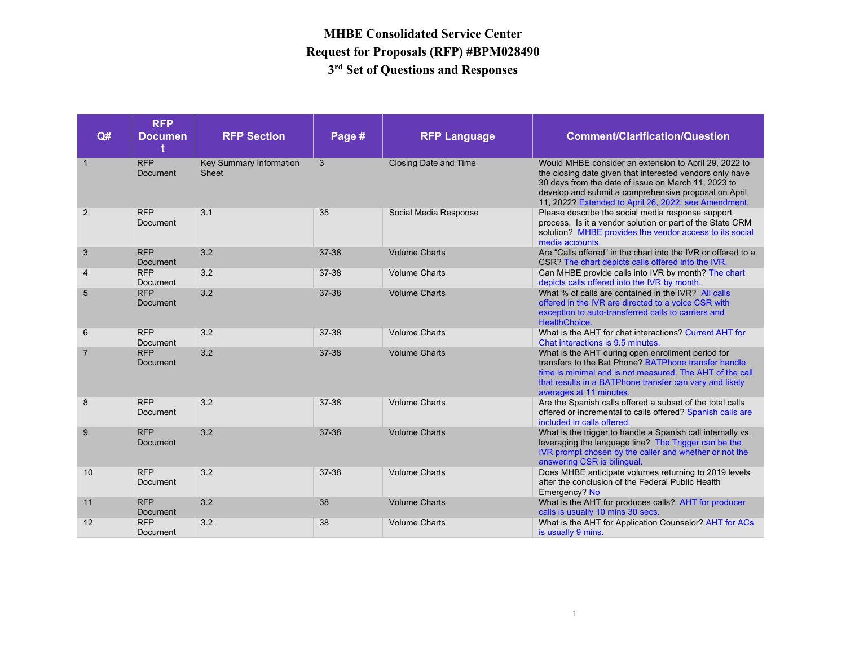| Q#             | <b>RFP</b><br><b>Documen</b><br>t | <b>RFP Section</b>               | Page # | <b>RFP Language</b>          | <b>Comment/Clarification/Question</b>                                                                                                                                                                                                                                                    |
|----------------|-----------------------------------|----------------------------------|--------|------------------------------|------------------------------------------------------------------------------------------------------------------------------------------------------------------------------------------------------------------------------------------------------------------------------------------|
| $\mathbf{1}$   | <b>RFP</b><br>Document            | Key Summary Information<br>Sheet | 3      | <b>Closing Date and Time</b> | Would MHBE consider an extension to April 29, 2022 to<br>the closing date given that interested vendors only have<br>30 days from the date of issue on March 11, 2023 to<br>develop and submit a comprehensive proposal on April<br>11, 2022? Extended to April 26, 2022; see Amendment. |
| 2              | <b>RFP</b><br>Document            | 3.1                              | 35     | Social Media Response        | Please describe the social media response support<br>process. Is it a vendor solution or part of the State CRM<br>solution? MHBE provides the vendor access to its social<br>media accounts.                                                                                             |
| 3              | <b>RFP</b><br>Document            | 3.2                              | 37-38  | <b>Volume Charts</b>         | Are "Calls offered" in the chart into the IVR or offered to a<br>CSR? The chart depicts calls offered into the IVR.                                                                                                                                                                      |
| 4              | <b>RFP</b><br>Document            | 3.2                              | 37-38  | <b>Volume Charts</b>         | Can MHBE provide calls into IVR by month? The chart<br>depicts calls offered into the IVR by month.                                                                                                                                                                                      |
| 5              | <b>RFP</b><br>Document            | 3.2                              | 37-38  | <b>Volume Charts</b>         | What % of calls are contained in the IVR? All calls<br>offered in the IVR are directed to a voice CSR with<br>exception to auto-transferred calls to carriers and<br>HealthChoice.                                                                                                       |
| 6              | <b>RFP</b><br>Document            | 3.2                              | 37-38  | <b>Volume Charts</b>         | What is the AHT for chat interactions? Current AHT for<br>Chat interactions is 9.5 minutes.                                                                                                                                                                                              |
| $\overline{7}$ | <b>RFP</b><br>Document            | 3.2                              | 37-38  | <b>Volume Charts</b>         | What is the AHT during open enrollment period for<br>transfers to the Bat Phone? BATPhone transfer handle<br>time is minimal and is not measured. The AHT of the call<br>that results in a BATPhone transfer can vary and likely<br>averages at 11 minutes.                              |
| 8              | <b>RFP</b><br>Document            | 3.2                              | 37-38  | <b>Volume Charts</b>         | Are the Spanish calls offered a subset of the total calls<br>offered or incremental to calls offered? Spanish calls are<br>included in calls offered.                                                                                                                                    |
| 9              | <b>RFP</b><br>Document            | 3.2                              | 37-38  | <b>Volume Charts</b>         | What is the trigger to handle a Spanish call internally vs.<br>leveraging the language line? The Trigger can be the<br>IVR prompt chosen by the caller and whether or not the<br>answering CSR is bilingual.                                                                             |
| 10             | <b>RFP</b><br>Document            | 3.2                              | 37-38  | <b>Volume Charts</b>         | Does MHBE anticipate volumes returning to 2019 levels<br>after the conclusion of the Federal Public Health<br>Emergency? No                                                                                                                                                              |
| 11             | <b>RFP</b><br>Document            | 3.2                              | 38     | <b>Volume Charts</b>         | What is the AHT for produces calls? AHT for producer<br>calls is usually 10 mins 30 secs.                                                                                                                                                                                                |
| 12             | <b>RFP</b><br>Document            | 3.2                              | 38     | <b>Volume Charts</b>         | What is the AHT for Application Counselor? AHT for ACs<br>is usually 9 mins.                                                                                                                                                                                                             |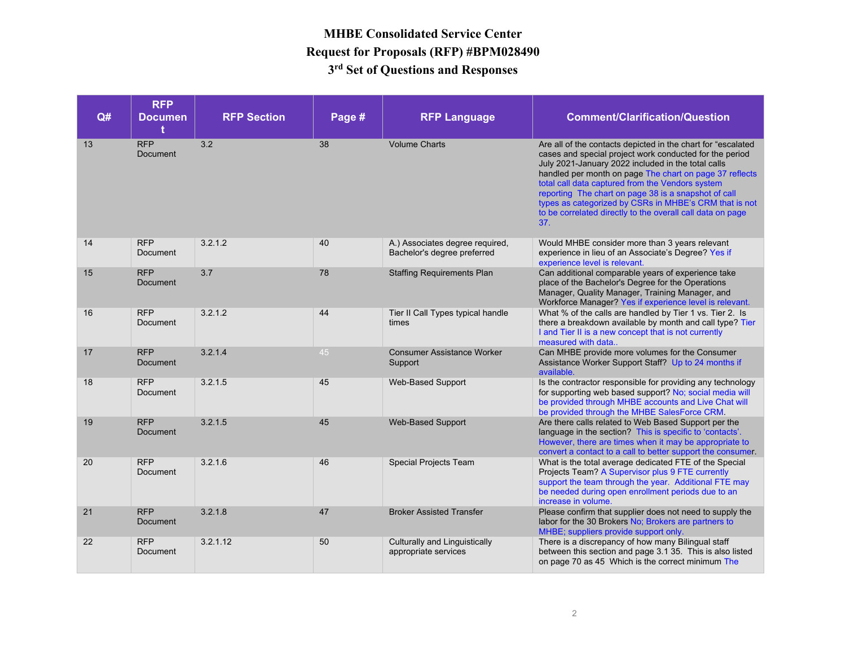| Q# | <b>RFP</b><br><b>Documen</b><br>ŧ | <b>RFP Section</b> | Page # | <b>RFP Language</b>                                            | <b>Comment/Clarification/Question</b>                                                                                                                                                                                                                                                                                                                                                                                                                                               |
|----|-----------------------------------|--------------------|--------|----------------------------------------------------------------|-------------------------------------------------------------------------------------------------------------------------------------------------------------------------------------------------------------------------------------------------------------------------------------------------------------------------------------------------------------------------------------------------------------------------------------------------------------------------------------|
| 13 | <b>RFP</b><br>Document            | 3.2                | 38     | <b>Volume Charts</b>                                           | Are all of the contacts depicted in the chart for "escalated<br>cases and special project work conducted for the period<br>July 2021-January 2022 included in the total calls<br>handled per month on page The chart on page 37 reflects<br>total call data captured from the Vendors system<br>reporting The chart on page 38 is a snapshot of call<br>types as categorized by CSRs in MHBE's CRM that is not<br>to be correlated directly to the overall call data on page<br>37. |
| 14 | <b>RFP</b><br>Document            | 3.2.1.2            | 40     | A.) Associates degree required,<br>Bachelor's degree preferred | Would MHBE consider more than 3 years relevant<br>experience in lieu of an Associate's Degree? Yes if<br>experience level is relevant.                                                                                                                                                                                                                                                                                                                                              |
| 15 | <b>RFP</b><br>Document            | 3.7                | 78     | <b>Staffing Requirements Plan</b>                              | Can additional comparable years of experience take<br>place of the Bachelor's Degree for the Operations<br>Manager, Quality Manager, Training Manager, and<br>Workforce Manager? Yes if experience level is relevant.                                                                                                                                                                                                                                                               |
| 16 | <b>RFP</b><br>Document            | 3.2.1.2            | 44     | Tier II Call Types typical handle<br>times                     | What % of the calls are handled by Tier 1 vs. Tier 2. Is<br>there a breakdown available by month and call type? Tier<br>I and Tier II is a new concept that is not currently<br>measured with data                                                                                                                                                                                                                                                                                  |
| 17 | <b>RFP</b><br>Document            | 3.2.1.4            | 45     | <b>Consumer Assistance Worker</b><br>Support                   | Can MHBE provide more volumes for the Consumer<br>Assistance Worker Support Staff? Up to 24 months if<br>available.                                                                                                                                                                                                                                                                                                                                                                 |
| 18 | <b>RFP</b><br>Document            | 3.2.1.5            | 45     | Web-Based Support                                              | Is the contractor responsible for providing any technology<br>for supporting web based support? No; social media will<br>be provided through MHBE accounts and Live Chat will<br>be provided through the MHBE SalesForce CRM                                                                                                                                                                                                                                                        |
| 19 | <b>RFP</b><br>Document            | 3.2.1.5            | 45     | <b>Web-Based Support</b>                                       | Are there calls related to Web Based Support per the<br>language in the section? This is specific to 'contacts'.<br>However, there are times when it may be appropriate to<br>convert a contact to a call to better support the consumer.                                                                                                                                                                                                                                           |
| 20 | <b>RFP</b><br>Document            | 3.2.1.6            | 46     | Special Projects Team                                          | What is the total average dedicated FTE of the Special<br>Projects Team? A Supervisor plus 9 FTE currently<br>support the team through the year. Additional FTE may<br>be needed during open enrollment periods due to an<br>increase in volume.                                                                                                                                                                                                                                    |
| 21 | <b>RFP</b><br><b>Document</b>     | 3.2.1.8            | 47     | <b>Broker Assisted Transfer</b>                                | Please confirm that supplier does not need to supply the<br>labor for the 30 Brokers No; Brokers are partners to<br>MHBE; suppliers provide support only.                                                                                                                                                                                                                                                                                                                           |
| 22 | <b>RFP</b><br>Document            | 3.2.1.12           | 50     | Culturally and Linguistically<br>appropriate services          | There is a discrepancy of how many Bilingual staff<br>between this section and page 3.1 35. This is also listed<br>on page 70 as 45 Which is the correct minimum The                                                                                                                                                                                                                                                                                                                |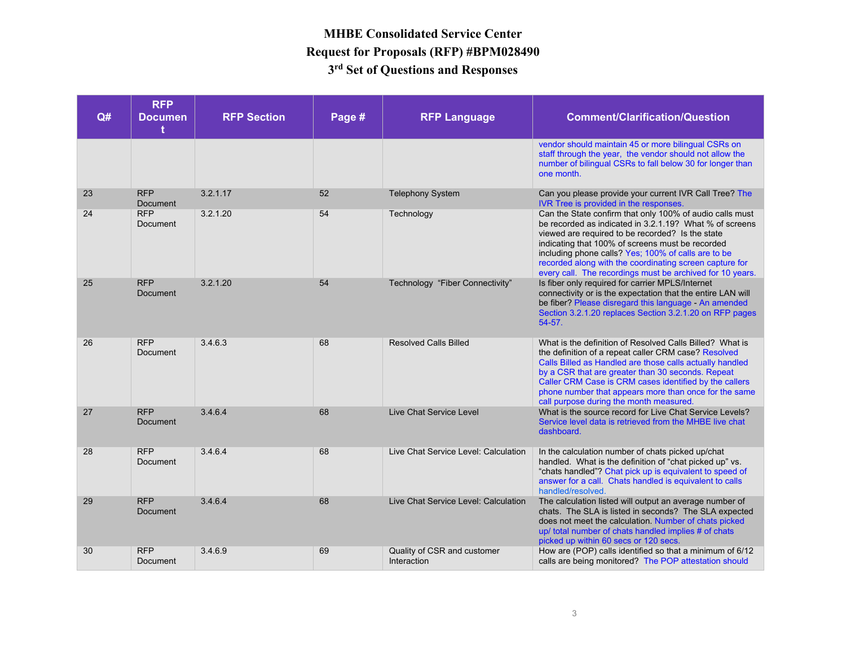| Q# | <b>RFP</b><br><b>Documen</b><br>t | <b>RFP Section</b> | Page # | <b>RFP Language</b>                        | <b>Comment/Clarification/Question</b>                                                                                                                                                                                                                                                                                                                                                                      |
|----|-----------------------------------|--------------------|--------|--------------------------------------------|------------------------------------------------------------------------------------------------------------------------------------------------------------------------------------------------------------------------------------------------------------------------------------------------------------------------------------------------------------------------------------------------------------|
|    |                                   |                    |        |                                            | vendor should maintain 45 or more bilingual CSRs on<br>staff through the year, the vendor should not allow the<br>number of bilingual CSRs to fall below 30 for longer than<br>one month.                                                                                                                                                                                                                  |
| 23 | <b>RFP</b><br>Document            | 3.2.1.17           | 52     | <b>Telephony System</b>                    | Can you please provide your current IVR Call Tree? The<br>IVR Tree is provided in the responses.                                                                                                                                                                                                                                                                                                           |
| 24 | <b>RFP</b><br>Document            | 3.2.1.20           | 54     | Technology                                 | Can the State confirm that only 100% of audio calls must<br>be recorded as indicated in 3.2.1.19? What % of screens<br>viewed are required to be recorded? Is the state<br>indicating that 100% of screens must be recorded<br>including phone calls? Yes; 100% of calls are to be<br>recorded along with the coordinating screen capture for<br>every call. The recordings must be archived for 10 years. |
| 25 | <b>RFP</b><br>Document            | 3.2.1.20           | 54     | Technology "Fiber Connectivity"            | Is fiber only required for carrier MPLS/Internet<br>connectivity or is the expectation that the entire LAN will<br>be fiber? Please disregard this language - An amended<br>Section 3.2.1.20 replaces Section 3.2.1.20 on RFP pages<br>$54 - 57.$                                                                                                                                                          |
| 26 | <b>RFP</b><br><b>Document</b>     | 3.4.6.3            | 68     | <b>Resolved Calls Billed</b>               | What is the definition of Resolved Calls Billed? What is<br>the definition of a repeat caller CRM case? Resolved<br>Calls Billed as Handled are those calls actually handled<br>by a CSR that are greater than 30 seconds. Repeat<br>Caller CRM Case is CRM cases identified by the callers<br>phone number that appears more than once for the same<br>call purpose during the month measured.            |
| 27 | <b>RFP</b><br>Document            | 3.4.6.4            | 68     | Live Chat Service Level                    | What is the source record for Live Chat Service Levels?<br>Service level data is retrieved from the MHBE live chat<br>dashboard.                                                                                                                                                                                                                                                                           |
| 28 | <b>RFP</b><br>Document            | 3.4.6.4            | 68     | Live Chat Service Level: Calculation       | In the calculation number of chats picked up/chat<br>handled. What is the definition of "chat picked up" vs.<br>"chats handled"? Chat pick up is equivalent to speed of<br>answer for a call. Chats handled is equivalent to calls<br>handled/resolved.                                                                                                                                                    |
| 29 | <b>RFP</b><br><b>Document</b>     | 3.4.6.4            | 68     | Live Chat Service Level: Calculation       | The calculation listed will output an average number of<br>chats. The SLA is listed in seconds? The SLA expected<br>does not meet the calculation. Number of chats picked<br>up/ total number of chats handled implies # of chats<br>picked up within 60 secs or 120 secs.                                                                                                                                 |
| 30 | <b>RFP</b><br>Document            | 3.4.6.9            | 69     | Quality of CSR and customer<br>Interaction | How are (POP) calls identified so that a minimum of 6/12<br>calls are being monitored? The POP attestation should                                                                                                                                                                                                                                                                                          |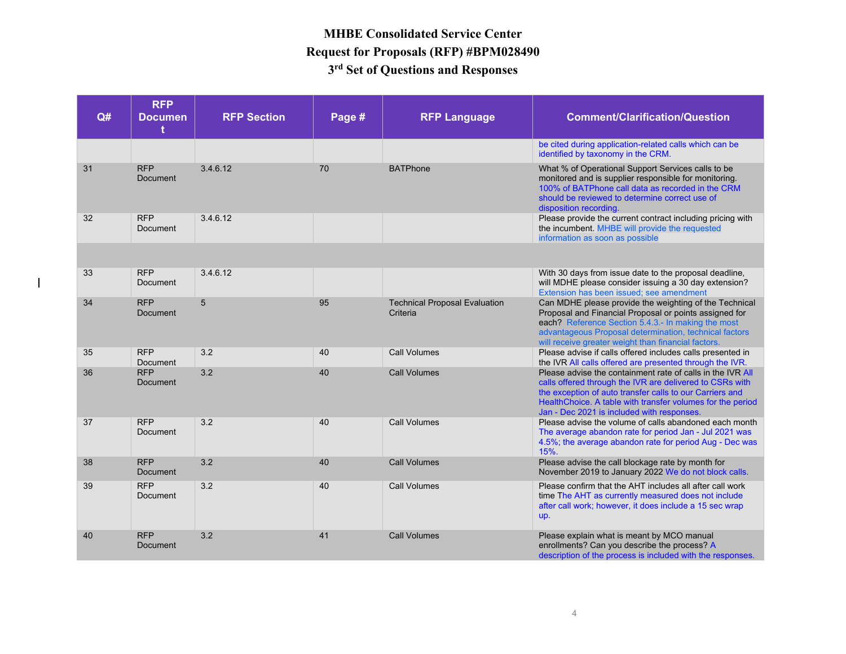| Q# | <b>RFP</b><br><b>Documen</b><br>t | <b>RFP Section</b> | Page # | <b>RFP Language</b>                              | <b>Comment/Clarification/Question</b>                                                                                                                                                                                                                                                          |
|----|-----------------------------------|--------------------|--------|--------------------------------------------------|------------------------------------------------------------------------------------------------------------------------------------------------------------------------------------------------------------------------------------------------------------------------------------------------|
|    |                                   |                    |        |                                                  | be cited during application-related calls which can be<br>identified by taxonomy in the CRM.                                                                                                                                                                                                   |
| 31 | <b>RFP</b><br><b>Document</b>     | 3.4.6.12           | 70     | <b>BATPhone</b>                                  | What % of Operational Support Services calls to be<br>monitored and is supplier responsible for monitoring.<br>100% of BATPhone call data as recorded in the CRM<br>should be reviewed to determine correct use of<br>disposition recording.                                                   |
| 32 | <b>RFP</b><br>Document            | 3.4.6.12           |        |                                                  | Please provide the current contract including pricing with<br>the incumbent. MHBE will provide the requested<br>information as soon as possible                                                                                                                                                |
|    |                                   |                    |        |                                                  |                                                                                                                                                                                                                                                                                                |
| 33 | <b>RFP</b><br>Document            | 3.4.6.12           |        |                                                  | With 30 days from issue date to the proposal deadline,<br>will MDHE please consider issuing a 30 day extension?<br>Extension has been issued: see amendment                                                                                                                                    |
| 34 | <b>RFP</b><br><b>Document</b>     | 5                  | 95     | <b>Technical Proposal Evaluation</b><br>Criteria | Can MDHE please provide the weighting of the Technical<br>Proposal and Financial Proposal or points assigned for<br>each? Reference Section 5.4.3.- In making the most<br>advantageous Proposal determination, technical factors<br>will receive greater weight than financial factors.        |
| 35 | <b>RFP</b><br>Document            | 3.2                | 40     | <b>Call Volumes</b>                              | Please advise if calls offered includes calls presented in<br>the IVR All calls offered are presented through the IVR.                                                                                                                                                                         |
| 36 | <b>RFP</b><br>Document            | 3.2                | 40     | <b>Call Volumes</b>                              | Please advise the containment rate of calls in the IVR All<br>calls offered through the IVR are delivered to CSRs with<br>the exception of auto transfer calls to our Carriers and<br>HealthChoice. A table with transfer volumes for the period<br>Jan - Dec 2021 is included with responses. |
| 37 | <b>RFP</b><br>Document            | 3.2                | 40     | <b>Call Volumes</b>                              | Please advise the volume of calls abandoned each month<br>The average abandon rate for period Jan - Jul 2021 was<br>4.5%; the average abandon rate for period Aug - Dec was<br>15%.                                                                                                            |
| 38 | <b>RFP</b><br>Document            | 3.2                | 40     | <b>Call Volumes</b>                              | Please advise the call blockage rate by month for<br>November 2019 to January 2022 We do not block calls.                                                                                                                                                                                      |
| 39 | <b>RFP</b><br>Document            | 3.2                | 40     | <b>Call Volumes</b>                              | Please confirm that the AHT includes all after call work<br>time The AHT as currently measured does not include<br>after call work; however, it does include a 15 sec wrap<br>up.                                                                                                              |
| 40 | <b>RFP</b><br>Document            | 3.2                | 41     | <b>Call Volumes</b>                              | Please explain what is meant by MCO manual<br>enrollments? Can you describe the process? A<br>description of the process is included with the responses.                                                                                                                                       |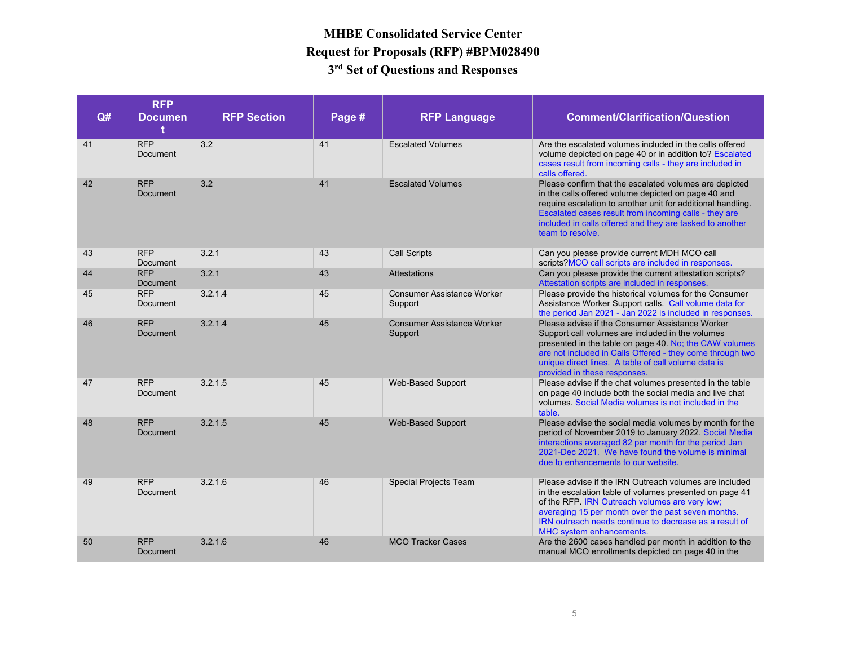| Q# | <b>RFP</b><br><b>Documen</b><br>t | <b>RFP Section</b> | Page # | <b>RFP Language</b>                          | <b>Comment/Clarification/Question</b>                                                                                                                                                                                                                                                                                 |
|----|-----------------------------------|--------------------|--------|----------------------------------------------|-----------------------------------------------------------------------------------------------------------------------------------------------------------------------------------------------------------------------------------------------------------------------------------------------------------------------|
| 41 | <b>RFP</b><br><b>Document</b>     | 3.2                | 41     | <b>Escalated Volumes</b>                     | Are the escalated volumes included in the calls offered<br>volume depicted on page 40 or in addition to? Escalated<br>cases result from incoming calls - they are included in<br>calls offered.                                                                                                                       |
| 42 | <b>RFP</b><br><b>Document</b>     | 3.2                | 41     | <b>Escalated Volumes</b>                     | Please confirm that the escalated volumes are depicted<br>in the calls offered volume depicted on page 40 and<br>require escalation to another unit for additional handling.<br>Escalated cases result from incoming calls - they are<br>included in calls offered and they are tasked to another<br>team to resolve. |
| 43 | <b>RFP</b><br>Document            | 3.2.1              | 43     | <b>Call Scripts</b>                          | Can you please provide current MDH MCO call<br>scripts?MCO call scripts are included in responses.                                                                                                                                                                                                                    |
| 44 | <b>RFP</b><br><b>Document</b>     | 3.2.1              | 43     | <b>Attestations</b>                          | Can you please provide the current attestation scripts?<br>Attestation scripts are included in responses.                                                                                                                                                                                                             |
| 45 | <b>RFP</b><br>Document            | 3.2.1.4            | 45     | <b>Consumer Assistance Worker</b><br>Support | Please provide the historical volumes for the Consumer<br>Assistance Worker Support calls. Call volume data for<br>the period Jan 2021 - Jan 2022 is included in responses.                                                                                                                                           |
| 46 | <b>RFP</b><br>Document            | 3.2.1.4            | 45     | <b>Consumer Assistance Worker</b><br>Support | Please advise if the Consumer Assistance Worker<br>Support call volumes are included in the volumes<br>presented in the table on page 40. No; the CAW volumes<br>are not included in Calls Offered - they come through two<br>unique direct lines. A table of call volume data is<br>provided in these responses.     |
| 47 | <b>RFP</b><br><b>Document</b>     | 3.2.1.5            | 45     | Web-Based Support                            | Please advise if the chat volumes presented in the table<br>on page 40 include both the social media and live chat<br>volumes. Social Media volumes is not included in the<br>table.                                                                                                                                  |
| 48 | <b>RFP</b><br>Document            | 3.2.1.5            | 45     | <b>Web-Based Support</b>                     | Please advise the social media volumes by month for the<br>period of November 2019 to January 2022. Social Media<br>interactions averaged 82 per month for the period Jan<br>2021-Dec 2021. We have found the volume is minimal<br>due to enhancements to our website.                                                |
| 49 | <b>RFP</b><br>Document            | 3.2.1.6            | 46     | <b>Special Projects Team</b>                 | Please advise if the IRN Outreach volumes are included<br>in the escalation table of volumes presented on page 41<br>of the RFP. IRN Outreach volumes are very low;<br>averaging 15 per month over the past seven months.<br>IRN outreach needs continue to decrease as a result of<br>MHC system enhancements.       |
| 50 | <b>RFP</b><br><b>Document</b>     | 3.2.1.6            | 46     | <b>MCO Tracker Cases</b>                     | Are the 2600 cases handled per month in addition to the<br>manual MCO enrollments depicted on page 40 in the                                                                                                                                                                                                          |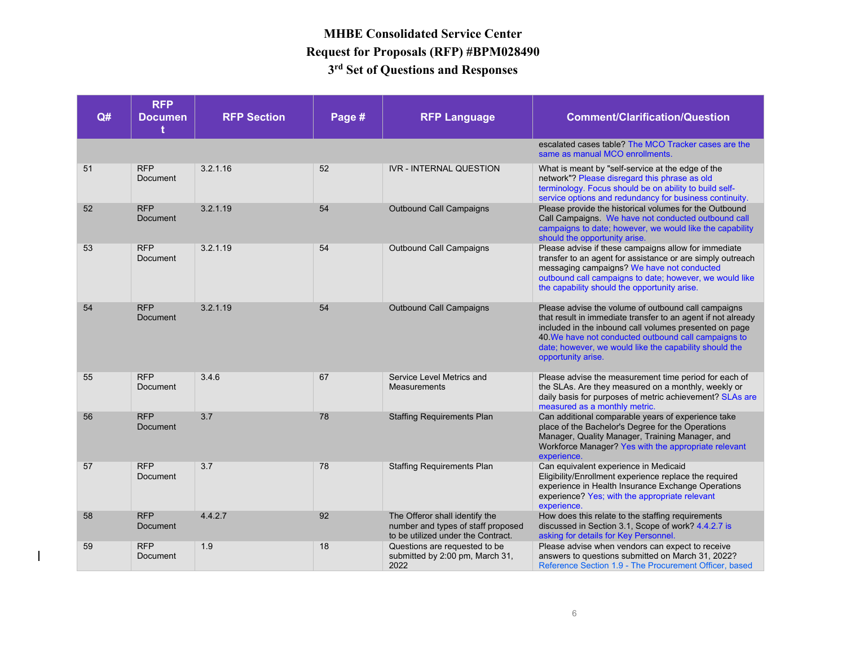| Q# | <b>RFP</b><br><b>Documen</b><br>t. | <b>RFP Section</b> | Page # | <b>RFP Language</b>                                                                                        | <b>Comment/Clarification/Question</b>                                                                                                                                                                                                                                                                                |
|----|------------------------------------|--------------------|--------|------------------------------------------------------------------------------------------------------------|----------------------------------------------------------------------------------------------------------------------------------------------------------------------------------------------------------------------------------------------------------------------------------------------------------------------|
|    |                                    |                    |        |                                                                                                            | escalated cases table? The MCO Tracker cases are the<br>same as manual MCO enrollments.                                                                                                                                                                                                                              |
| 51 | <b>RFP</b><br><b>Document</b>      | 3.2.1.16           | 52     | <b>IVR - INTERNAL QUESTION</b>                                                                             | What is meant by "self-service at the edge of the<br>network"? Please disregard this phrase as old<br>terminology. Focus should be on ability to build self-<br>service options and redundancy for business continuity.                                                                                              |
| 52 | <b>RFP</b><br><b>Document</b>      | 3.2.1.19           | 54     | <b>Outbound Call Campaigns</b>                                                                             | Please provide the historical volumes for the Outbound<br>Call Campaigns. We have not conducted outbound call<br>campaigns to date; however, we would like the capability<br>should the opportunity arise.                                                                                                           |
| 53 | <b>RFP</b><br>Document             | 3.2.1.19           | 54     | <b>Outbound Call Campaigns</b>                                                                             | Please advise if these campaigns allow for immediate<br>transfer to an agent for assistance or are simply outreach<br>messaging campaigns? We have not conducted<br>outbound call campaigns to date; however, we would like<br>the capability should the opportunity arise.                                          |
| 54 | <b>RFP</b><br>Document             | 3.2.1.19           | 54     | <b>Outbound Call Campaigns</b>                                                                             | Please advise the volume of outbound call campaigns<br>that result in immediate transfer to an agent if not already<br>included in the inbound call volumes presented on page<br>40 We have not conducted outbound call campaigns to<br>date; however, we would like the capability should the<br>opportunity arise. |
| 55 | <b>RFP</b><br>Document             | 3.4.6              | 67     | Service Level Metrics and<br><b>Measurements</b>                                                           | Please advise the measurement time period for each of<br>the SLAs. Are they measured on a monthly, weekly or<br>daily basis for purposes of metric achievement? SLAs are<br>measured as a monthly metric.                                                                                                            |
| 56 | <b>RFP</b><br>Document             | 3.7                | 78     | <b>Staffing Requirements Plan</b>                                                                          | Can additional comparable years of experience take<br>place of the Bachelor's Degree for the Operations<br>Manager, Quality Manager, Training Manager, and<br>Workforce Manager? Yes with the appropriate relevant<br>experience.                                                                                    |
| 57 | <b>RFP</b><br>Document             | 3.7                | 78     | <b>Staffing Requirements Plan</b>                                                                          | Can equivalent experience in Medicaid<br>Eligibility/Enrollment experience replace the required<br>experience in Health Insurance Exchange Operations<br>experience? Yes; with the appropriate relevant<br>experience.                                                                                               |
| 58 | <b>RFP</b><br>Document             | 4.4.2.7            | 92     | The Offeror shall identify the<br>number and types of staff proposed<br>to be utilized under the Contract. | How does this relate to the staffing requirements<br>discussed in Section 3.1, Scope of work? 4.4.2.7 is<br>asking for details for Key Personnel.                                                                                                                                                                    |
| 59 | <b>RFP</b><br>Document             | 1.9                | 18     | Questions are requested to be<br>submitted by 2:00 pm, March 31,<br>2022                                   | Please advise when vendors can expect to receive<br>answers to questions submitted on March 31, 2022?<br>Reference Section 1.9 - The Procurement Officer, based                                                                                                                                                      |

 $\overline{\phantom{a}}$